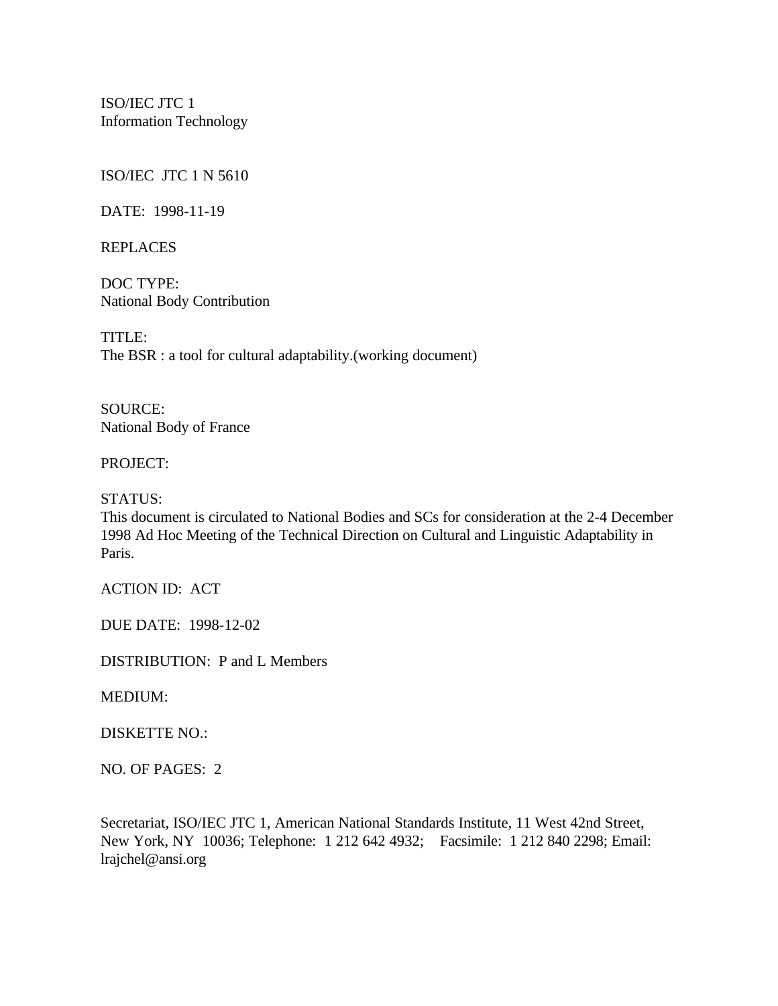ISO/IEC JTC 1 Information Technology

ISO/IEC JTC 1 N 5610

DATE: 1998-11-19

REPLACES

DOC TYPE: National Body Contribution

TITLE: The BSR : a tool for cultural adaptability.(working document)

SOURCE: National Body of France

### PROJECT:

STATUS:

This document is circulated to National Bodies and SCs for consideration at the 2-4 December 1998 Ad Hoc Meeting of the Technical Direction on Cultural and Linguistic Adaptability in Paris.

ACTION ID: ACT

DUE DATE: 1998-12-02

DISTRIBUTION: P and L Members

MEDIUM:

### DISKETTE NO.:

NO. OF PAGES: 2

Secretariat, ISO/IEC JTC 1, American National Standards Institute, 11 West 42nd Street, New York, NY 10036; Telephone: 1 212 642 4932; Facsimile: 1 212 840 2298; Email: lrajchel@ansi.org